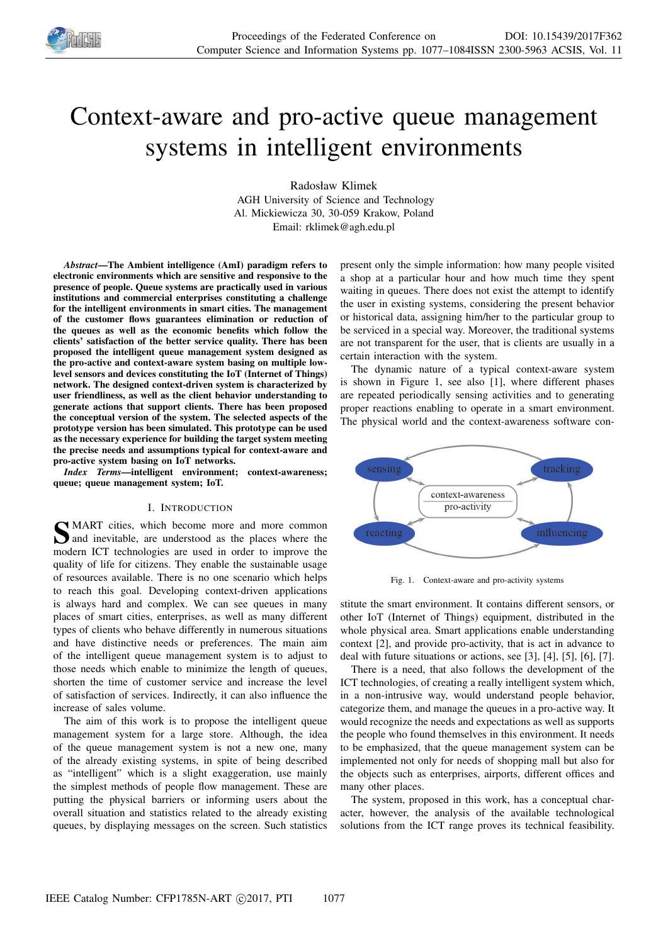

# Context-aware and pro-active queue management systems in intelligent environments

Radosław Klimek AGH University of Science and Technology Al. Mickiewicza 30, 30-059 Krakow, Poland Email: rklimek@agh.edu.pl

*Abstract*—The Ambient intelligence (AmI) paradigm refers to electronic environments which are sensitive and responsive to the presence of people. Queue systems are practically used in various institutions and commercial enterprises constituting a challenge for the intelligent environments in smart cities. The management of the customer flows guarantees elimination or reduction of the queues as well as the economic benefits which follow the clients' satisfaction of the better service quality. There has been proposed the intelligent queue management system designed as the pro-active and context-aware system basing on multiple lowlevel sensors and devices constituting the IoT (Internet of Things) network. The designed context-driven system is characterized by user friendliness, as well as the client behavior understanding to generate actions that support clients. There has been proposed the conceptual version of the system. The selected aspects of the prototype version has been simulated. This prototype can be used as the necessary experience for building the target system meeting the precise needs and assumptions typical for context-aware and pro-active system basing on IoT networks.

*Index Terms*—intelligent environment; context-awareness; queue; queue management system; IoT.

## I. INTRODUCTION

**S** MART cities, which become more and more common<br>and inevitable, are understood as the places where the MART cities, which become more and more common modern ICT technologies are used in order to improve the quality of life for citizens. They enable the sustainable usage of resources available. There is no one scenario which helps to reach this goal. Developing context-driven applications is always hard and complex. We can see queues in many places of smart cities, enterprises, as well as many different types of clients who behave differently in numerous situations and have distinctive needs or preferences. The main aim of the intelligent queue management system is to adjust to those needs which enable to minimize the length of queues, shorten the time of customer service and increase the level of satisfaction of services. Indirectly, it can also influence the increase of sales volume.

The aim of this work is to propose the intelligent queue management system for a large store. Although, the idea of the queue management system is not a new one, many of the already existing systems, in spite of being described as "intelligent" which is a slight exaggeration, use mainly the simplest methods of people flow management. These are putting the physical barriers or informing users about the overall situation and statistics related to the already existing queues, by displaying messages on the screen. Such statistics present only the simple information: how many people visited a shop at a particular hour and how much time they spent waiting in queues. There does not exist the attempt to identify the user in existing systems, considering the present behavior or historical data, assigning him/her to the particular group to be serviced in a special way. Moreover, the traditional systems are not transparent for the user, that is clients are usually in a certain interaction with the system.

The dynamic nature of a typical context-aware system is shown in Figure 1, see also [1], where different phases are repeated periodically sensing activities and to generating proper reactions enabling to operate in a smart environment. The physical world and the context-awareness software con-



Fig. 1. Context-aware and pro-activity systems

stitute the smart environment. It contains different sensors, or other IoT (Internet of Things) equipment, distributed in the whole physical area. Smart applications enable understanding context [2], and provide pro-activity, that is act in advance to deal with future situations or actions, see [3], [4], [5], [6], [7].

There is a need, that also follows the development of the ICT technologies, of creating a really intelligent system which, in a non-intrusive way, would understand people behavior, categorize them, and manage the queues in a pro-active way. It would recognize the needs and expectations as well as supports the people who found themselves in this environment. It needs to be emphasized, that the queue management system can be implemented not only for needs of shopping mall but also for the objects such as enterprises, airports, different offices and many other places.

The system, proposed in this work, has a conceptual character, however, the analysis of the available technological solutions from the ICT range proves its technical feasibility.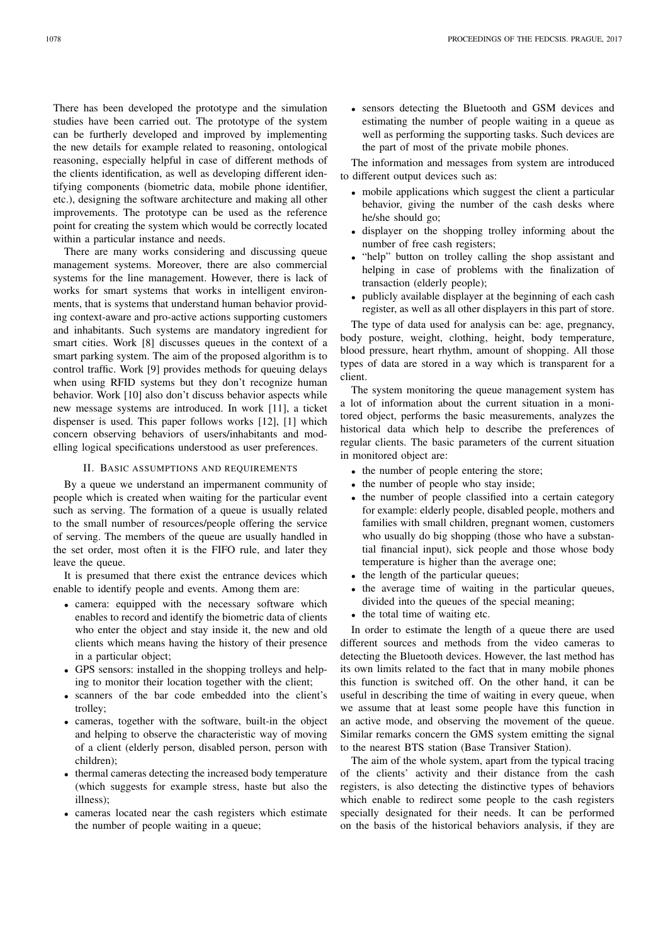There has been developed the prototype and the simulation studies have been carried out. The prototype of the system can be furtherly developed and improved by implementing the new details for example related to reasoning, ontological reasoning, especially helpful in case of different methods of the clients identification, as well as developing different identifying components (biometric data, mobile phone identifier, etc.), designing the software architecture and making all other improvements. The prototype can be used as the reference point for creating the system which would be correctly located within a particular instance and needs.

There are many works considering and discussing queue management systems. Moreover, there are also commercial systems for the line management. However, there is lack of works for smart systems that works in intelligent environments, that is systems that understand human behavior providing context-aware and pro-active actions supporting customers and inhabitants. Such systems are mandatory ingredient for smart cities. Work [8] discusses queues in the context of a smart parking system. The aim of the proposed algorithm is to control traffic. Work [9] provides methods for queuing delays when using RFID systems but they don't recognize human behavior. Work [10] also don't discuss behavior aspects while new message systems are introduced. In work [11], a ticket dispenser is used. This paper follows works [12], [1] which concern observing behaviors of users/inhabitants and modelling logical specifications understood as user preferences.

#### II. BASIC ASSUMPTIONS AND REQUIREMENTS

By a queue we understand an impermanent community of people which is created when waiting for the particular event such as serving. The formation of a queue is usually related to the small number of resources/people offering the service of serving. The members of the queue are usually handled in the set order, most often it is the FIFO rule, and later they leave the queue.

It is presumed that there exist the entrance devices which enable to identify people and events. Among them are:

- camera: equipped with the necessary software which enables to record and identify the biometric data of clients who enter the object and stay inside it, the new and old clients which means having the history of their presence in a particular object;
- GPS sensors: installed in the shopping trolleys and helping to monitor their location together with the client;
- scanners of the bar code embedded into the client's trolley;
- cameras, together with the software, built-in the object and helping to observe the characteristic way of moving of a client (elderly person, disabled person, person with children);
- thermal cameras detecting the increased body temperature (which suggests for example stress, haste but also the illness);
- cameras located near the cash registers which estimate the number of people waiting in a queue;

• sensors detecting the Bluetooth and GSM devices and estimating the number of people waiting in a queue as well as performing the supporting tasks. Such devices are the part of most of the private mobile phones.

The information and messages from system are introduced to different output devices such as:

- mobile applications which suggest the client a particular behavior, giving the number of the cash desks where he/she should go;
- displayer on the shopping trolley informing about the number of free cash registers;
- "help" button on trolley calling the shop assistant and helping in case of problems with the finalization of transaction (elderly people);
- publicly available displayer at the beginning of each cash register, as well as all other displayers in this part of store.

The type of data used for analysis can be: age, pregnancy, body posture, weight, clothing, height, body temperature, blood pressure, heart rhythm, amount of shopping. All those types of data are stored in a way which is transparent for a client.

The system monitoring the queue management system has a lot of information about the current situation in a monitored object, performs the basic measurements, analyzes the historical data which help to describe the preferences of regular clients. The basic parameters of the current situation in monitored object are:

- the number of people entering the store;
- the number of people who stay inside;
- the number of people classified into a certain category for example: elderly people, disabled people, mothers and families with small children, pregnant women, customers who usually do big shopping (those who have a substantial financial input), sick people and those whose body temperature is higher than the average one;
- the length of the particular queues;
- the average time of waiting in the particular queues, divided into the queues of the special meaning;
- the total time of waiting etc.

In order to estimate the length of a queue there are used different sources and methods from the video cameras to detecting the Bluetooth devices. However, the last method has its own limits related to the fact that in many mobile phones this function is switched off. On the other hand, it can be useful in describing the time of waiting in every queue, when we assume that at least some people have this function in an active mode, and observing the movement of the queue. Similar remarks concern the GMS system emitting the signal to the nearest BTS station (Base Transiver Station).

The aim of the whole system, apart from the typical tracing of the clients' activity and their distance from the cash registers, is also detecting the distinctive types of behaviors which enable to redirect some people to the cash registers specially designated for their needs. It can be performed on the basis of the historical behaviors analysis, if they are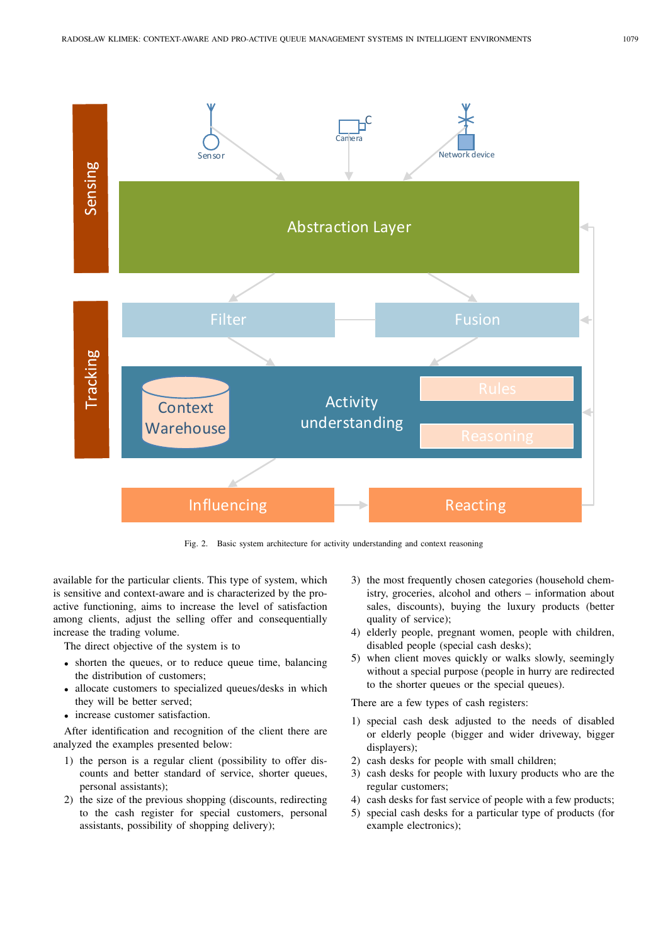

Fig. 2. Basic system architecture for activity understanding and context reasoning

available for the particular clients. This type of system, which is sensitive and context-aware and is characterized by the proactive functioning, aims to increase the level of satisfaction among clients, adjust the selling offer and consequentially increase the trading volume.

The direct objective of the system is to

- shorten the queues, or to reduce queue time, balancing the distribution of customers;
- allocate customers to specialized queues/desks in which they will be better served;
- increase customer satisfaction.

After identification and recognition of the client there are analyzed the examples presented below:

- 1) the person is a regular client (possibility to offer discounts and better standard of service, shorter queues, personal assistants);
- 2) the size of the previous shopping (discounts, redirecting to the cash register for special customers, personal assistants, possibility of shopping delivery);
- 3) the most frequently chosen categories (household chemistry, groceries, alcohol and others – information about sales, discounts), buying the luxury products (better quality of service);
- 4) elderly people, pregnant women, people with children, disabled people (special cash desks);
- 5) when client moves quickly or walks slowly, seemingly without a special purpose (people in hurry are redirected to the shorter queues or the special queues).

There are a few types of cash registers:

- 1) special cash desk adjusted to the needs of disabled or elderly people (bigger and wider driveway, bigger displayers);
- 2) cash desks for people with small children;
- 3) cash desks for people with luxury products who are the regular customers;
- 4) cash desks for fast service of people with a few products;
- 5) special cash desks for a particular type of products (for example electronics);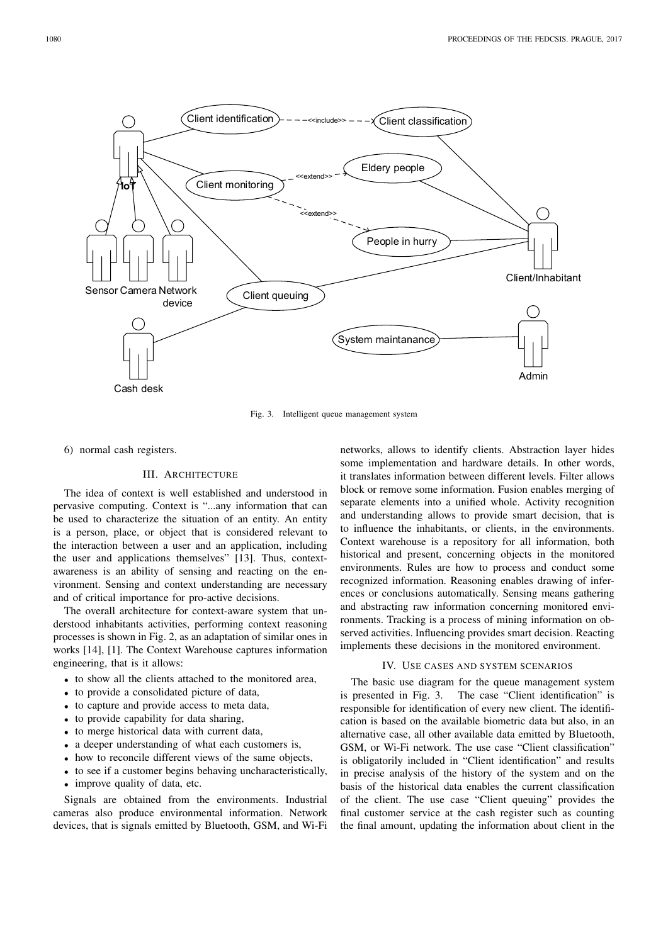

Fig. 3. Intelligent queue management system

## 6) normal cash registers.

## III. ARCHITECTURE

The idea of context is well established and understood in pervasive computing. Context is "...any information that can be used to characterize the situation of an entity. An entity is a person, place, or object that is considered relevant to the interaction between a user and an application, including the user and applications themselves" [13]. Thus, contextawareness is an ability of sensing and reacting on the environment. Sensing and context understanding are necessary and of critical importance for pro-active decisions.

The overall architecture for context-aware system that understood inhabitants activities, performing context reasoning processes is shown in Fig. 2, as an adaptation of similar ones in works [14], [1]. The Context Warehouse captures information engineering, that is it allows:

- to show all the clients attached to the monitored area,
- to provide a consolidated picture of data,
- to capture and provide access to meta data,
- to provide capability for data sharing,
- to merge historical data with current data,
- a deeper understanding of what each customers is,
- how to reconcile different views of the same objects,
- to see if a customer begins behaving uncharacteristically,
- improve quality of data, etc.

Signals are obtained from the environments. Industrial cameras also produce environmental information. Network devices, that is signals emitted by Bluetooth, GSM, and Wi-Fi

networks, allows to identify clients. Abstraction layer hides some implementation and hardware details. In other words, it translates information between different levels. Filter allows block or remove some information. Fusion enables merging of separate elements into a unified whole. Activity recognition and understanding allows to provide smart decision, that is to influence the inhabitants, or clients, in the environments. Context warehouse is a repository for all information, both historical and present, concerning objects in the monitored environments. Rules are how to process and conduct some recognized information. Reasoning enables drawing of inferences or conclusions automatically. Sensing means gathering and abstracting raw information concerning monitored environments. Tracking is a process of mining information on observed activities. Influencing provides smart decision. Reacting implements these decisions in the monitored environment.

#### IV. USE CASES AND SYSTEM SCENARIOS

The basic use diagram for the queue management system is presented in Fig. 3. The case "Client identification" is responsible for identification of every new client. The identification is based on the available biometric data but also, in an alternative case, all other available data emitted by Bluetooth, GSM, or Wi-Fi network. The use case "Client classification" is obligatorily included in "Client identification" and results in precise analysis of the history of the system and on the basis of the historical data enables the current classification of the client. The use case "Client queuing" provides the final customer service at the cash register such as counting the final amount, updating the information about client in the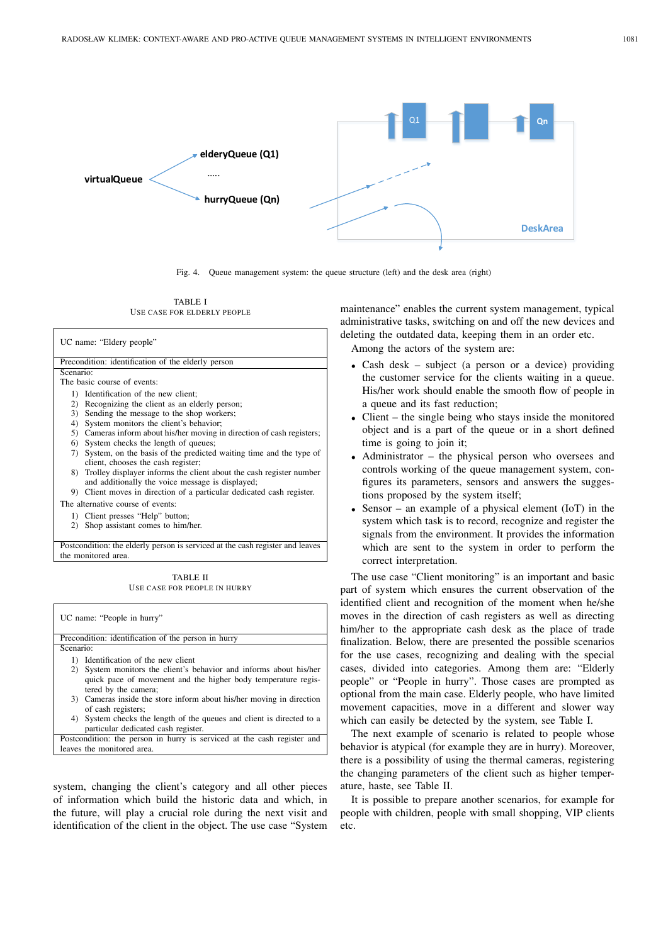

Fig. 4. Queue management system: the queue structure (left) and the desk area (right)

TABLE I USE CASE FOR ELDERLY PEOPLE

USE CASE FOR PEOPLE IN HURRY

UC name: "People in hurry"

Precondition: identification of the person in hurry Scenario:

- 1) Identification of the new client
- 2) System monitors the client's behavior and informs about his/her quick pace of movement and the higher body temperature registered by the camera;
- 3) Cameras inside the store inform about his/her moving in direction of cash registers;
- 4) System checks the length of the queues and client is directed to a particular dedicated cash register.

Postcondition: the person in hurry is serviced at the cash register and leaves the monitored area.

system, changing the client's category and all other pieces of information which build the historic data and which, in the future, will play a crucial role during the next visit and identification of the client in the object. The use case "System maintenance" enables the current system management, typical administrative tasks, switching on and off the new devices and deleting the outdated data, keeping them in an order etc.

Among the actors of the system are:

- Cash desk subject (a person or a device) providing the customer service for the clients waiting in a queue. His/her work should enable the smooth flow of people in a queue and its fast reduction;
- $Client the single being who stays inside the monitored$ object and is a part of the queue or in a short defined time is going to join it;
- Administrator the physical person who oversees and controls working of the queue management system, configures its parameters, sensors and answers the suggestions proposed by the system itself;
- Sensor an example of a physical element  $(IoT)$  in the system which task is to record, recognize and register the signals from the environment. It provides the information which are sent to the system in order to perform the correct interpretation.

The use case "Client monitoring" is an important and basic part of system which ensures the current observation of the identified client and recognition of the moment when he/she moves in the direction of cash registers as well as directing him/her to the appropriate cash desk as the place of trade finalization. Below, there are presented the possible scenarios for the use cases, recognizing and dealing with the special cases, divided into categories. Among them are: "Elderly people" or "People in hurry". Those cases are prompted as optional from the main case. Elderly people, who have limited movement capacities, move in a different and slower way which can easily be detected by the system, see Table I.

The next example of scenario is related to people whose behavior is atypical (for example they are in hurry). Moreover, there is a possibility of using the thermal cameras, registering the changing parameters of the client such as higher temperature, haste, see Table II.

It is possible to prepare another scenarios, for example for people with children, people with small shopping, VIP clients etc.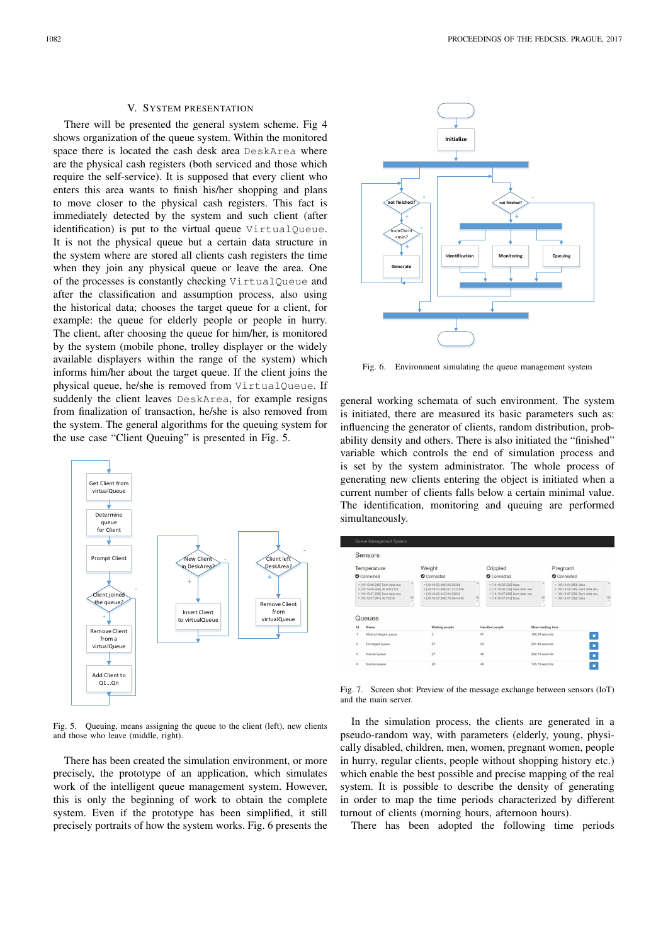### V. SYSTEM PRESENTATION

There will be presented the general system scheme. Fig 4 shows organization of the queue system. Within the monitored space there is located the cash desk area DeskArea where are the physical cash registers (both serviced and those which require the self-service). It is supposed that every client who enters this area wants to finish his/her shopping and plans to move closer to the physical cash registers. This fact is immediately detected by the system and such client (after identification) is put to the virtual queue VirtualQueue. It is not the physical queue but a certain data structure in the system where are stored all clients cash registers the time when they join any physical queue or leave the area. One of the processes is constantly checking VirtualQueue and after the classification and assumption process, also using the historical data; chooses the target queue for a client, for example: the queue for elderly people or people in hurry. The client, after choosing the queue for him/her, is monitored by the system (mobile phone, trolley displayer or the widely available displayers within the range of the system) which informs him/her about the target queue. If the client joins the physical queue, he/she is removed from VirtualQueue. If suddenly the client leaves DeskArea, for example resigns from finalization of transaction, he/she is also removed from the system. The general algorithms for the queuing system for the use case "Client Queuing" is presented in Fig. 5.



Fig. 5. Queuing, means assigning the queue to the client (left), new clients and those who leave (middle, right).

There has been created the simulation environment, or more precisely, the prototype of an application, which simulates work of the intelligent queue management system. However, this is only the beginning of work to obtain the complete system. Even if the prototype has been simplified, it still precisely portraits of how the system works. Fig. 6 presents the



Fig. 6. Environment simulating the queue management system

general working schemata of such environment. The system is initiated, there are measured its basic parameters such as: influencing the generator of clients, random distribution, probability density and others. There is also initiated the "finished" variable which controls the end of simulation process and is set by the system administrator. The whole process of generating new clients entering the object is initiated when a current number of clients falls below a certain minimal value. The identification, monitoring and queuing are performed simultaneously.

| Queue Management System |                                                                                                                                        |                                                                                                                     |                                                                                                                    |                   |                                                                                                                     |  |  |
|-------------------------|----------------------------------------------------------------------------------------------------------------------------------------|---------------------------------------------------------------------------------------------------------------------|--------------------------------------------------------------------------------------------------------------------|-------------------|---------------------------------------------------------------------------------------------------------------------|--|--|
|                         | Sensors                                                                                                                                |                                                                                                                     |                                                                                                                    |                   |                                                                                                                     |  |  |
|                         | Temperature                                                                                                                            | Weight                                                                                                              | Crippled                                                                                                           |                   | Pregnant                                                                                                            |  |  |
| Connected               |                                                                                                                                        | Connected                                                                                                           | Connected                                                                                                          |                   | <b>O</b> Connected                                                                                                  |  |  |
|                         | < [19:19:06:246] Sent data reg<br>> [19:19:06:896] 36.6032333<br>< [19:19:07:296] Sent data reg<br>> [19:19:07:941] 36.70215<br>Queues | > [19:19:00:400] 68.26308<br>>[19:19:03:596] 67.4233856<br>> (19:19:06:245) 64.25533<br>> [19:19:07:296] 79.0644455 | > [19:19:05:325] false<br>< [19:19:06:246] Sent data req<br><119:19:07:2961 Sent data reg<br>>[19:19:07:973] false |                   | > [19:19:04:883] false<br>< [19:19:06:246] Sent data req<br>< [19:19:07:296] Sent data reg<br>>[19:19:07:532] false |  |  |
| <b>Id</b>               | Name                                                                                                                                   | <b>Waiting people</b>                                                                                               | <b>Handled</b> people                                                                                              | Mean waiting time |                                                                                                                     |  |  |
|                         | Most privileged queue                                                                                                                  | 3                                                                                                                   | 47                                                                                                                 | 166.24 seconds    | п                                                                                                                   |  |  |
| $\overline{2}$          | Privileged gueue                                                                                                                       | 27                                                                                                                  | 50                                                                                                                 | 261.40 seconds    | п                                                                                                                   |  |  |
| 3                       | Normal queue                                                                                                                           | 27                                                                                                                  | 49                                                                                                                 | 282.74 seconds    | п                                                                                                                   |  |  |
| 4                       | Normal queue                                                                                                                           | 26                                                                                                                  | 48                                                                                                                 | 195.73 seconds    | п                                                                                                                   |  |  |

Fig. 7. Screen shot: Preview of the message exchange between sensors (IoT) and the main server.

In the simulation process, the clients are generated in a pseudo-random way, with parameters (elderly, young, physically disabled, children, men, women, pregnant women, people in hurry, regular clients, people without shopping history etc.) which enable the best possible and precise mapping of the real system. It is possible to describe the density of generating in order to map the time periods characterized by different turnout of clients (morning hours, afternoon hours).

There has been adopted the following time periods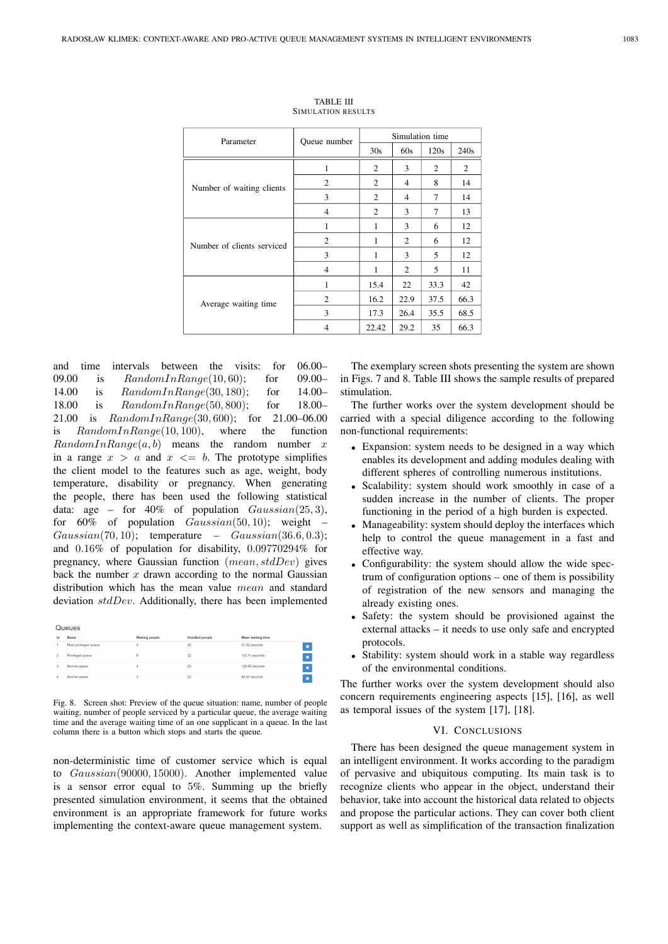| Parameter                  | Queue number   | Simulation time |      |      |      |  |
|----------------------------|----------------|-----------------|------|------|------|--|
|                            |                | 30s             | 60s  | 120s | 240s |  |
|                            | 1              | 2               | 3    | 2    | 2    |  |
| Number of waiting clients  | $\overline{2}$ | 2               | 4    | 8    | 14   |  |
|                            | 3              | 2               | 4    | 7    | 14   |  |
|                            | 4              | 2               | 3    | 7    | 13   |  |
|                            | 1              | 1               | 3    | 6    | 12   |  |
| Number of clients serviced | 2              | 1               | 2    | 6    | 12   |  |
|                            | 3              | 1               | 3    | 5    | 12   |  |
|                            | 4              | 1               | 2    | 5    | 11   |  |
|                            | 1              | 15.4            | 22   | 33.3 | 42   |  |
| Average waiting time       | $\overline{c}$ | 16.2            | 22.9 | 37.5 | 66.3 |  |
|                            | 3              | 17.3            | 26.4 | 35.5 | 68.5 |  |
|                            | 4              | 22.42           | 29.2 | 35   | 66.3 |  |

TABLE III SIMULATION RESULTS

and time intervals between the visits: for 06.00– 09.00 is  $RandomInRange(10, 60);$  for 09.00-14.00 is  $RandomInRange(30, 180);$  for 14.00-18.00 is  $RandomInRange(50, 800);$  for 18.00-21.00 is  $RandomInRange(30, 600);$  for 21.00–06.00 is  $RandomInRange(10, 100)$ , where the function  $RandomInRange(a, b)$  means the random number x in a range  $x > a$  and  $x \leq b$ . The prototype simplifies the client model to the features such as age, weight, body temperature, disability or pregnancy. When generating the people, there has been used the following statistical data: age – for 40% of population  $Gaussian(25, 3)$ , for  $60\%$  of population  $Gaussian(50, 10)$ ; weight –  $Gaussian(70, 10);$  temperature –  $Gaussian(36.6, 0.3);$ and 0.16% of population for disability, 0.09770294% for pregnancy, where Gaussian function  $(mean, stdDev)$  gives back the number  $x$  drawn according to the normal Gaussian distribution which has the mean value mean and standard deviation stdDev. Additionally, there has been implemented

| Queues         |                       |                       |                       |                   |  |  |  |  |  |
|----------------|-----------------------|-----------------------|-----------------------|-------------------|--|--|--|--|--|
| Id             | Name                  | <b>Waiting people</b> | <b>Handled people</b> | Mean waiting time |  |  |  |  |  |
|                | Most privileged queue | 3                     | 20                    | 57.32 seconds     |  |  |  |  |  |
| $\overline{2}$ | Privileged gueue      | 8                     | 22                    | 142,11 seconds    |  |  |  |  |  |
| 3              | Normal queue          | л                     | 23                    | 120.65 seconds    |  |  |  |  |  |
| 4              | Normal queue          | $\sim$<br>з           | 22                    | 86.43 seconds     |  |  |  |  |  |

Fig. 8. Screen shot: Preview of the queue situation: name, number of people waiting, number of people serviced by a particular queue, the average waiting time and the average waiting time of an one supplicant in a queue. In the last column there is a button which stops and starts the queue.

non-deterministic time of customer service which is equal to Gaussian(90000, 15000). Another implemented value is a sensor error equal to 5%. Summing up the briefly presented simulation environment, it seems that the obtained environment is an appropriate framework for future works implementing the context-aware queue management system.

The exemplary screen shots presenting the system are shown in Figs. 7 and 8. Table III shows the sample results of prepared stimulation.

The further works over the system development should be carried with a special diligence according to the following non-functional requirements:

- Expansion: system needs to be designed in a way which enables its development and adding modules dealing with different spheres of controlling numerous institutions.
- Scalability: system should work smoothly in case of a sudden increase in the number of clients. The proper functioning in the period of a high burden is expected.
- Manageability: system should deploy the interfaces which help to control the queue management in a fast and effective way.
- Configurability: the system should allow the wide spectrum of configuration options – one of them is possibility of registration of the new sensors and managing the already existing ones.
- Safety: the system should be provisioned against the external attacks – it needs to use only safe and encrypted protocols.
- Stability: system should work in a stable way regardless of the environmental conditions.

The further works over the system development should also concern requirements engineering aspects [15], [16], as well as temporal issues of the system [17], [18].

#### VI. CONCLUSIONS

There has been designed the queue management system in an intelligent environment. It works according to the paradigm of pervasive and ubiquitous computing. Its main task is to recognize clients who appear in the object, understand their behavior, take into account the historical data related to objects and propose the particular actions. They can cover both client support as well as simplification of the transaction finalization